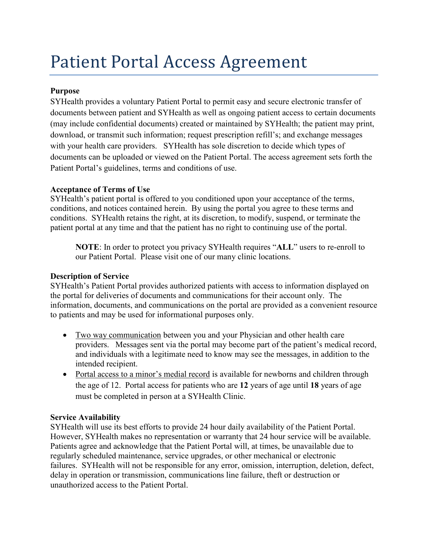# Patient Portal Access Agreement

# **Purpose**

SYHealth provides a voluntary Patient Portal to permit easy and secure electronic transfer of documents between patient and SYHealth as well as ongoing patient access to certain documents (may include confidential documents) created or maintained by SYHealth; the patient may print, download, or transmit such information; request prescription refill's; and exchange messages with your health care providers. SYHealth has sole discretion to decide which types of documents can be uploaded or viewed on the Patient Portal. The access agreement sets forth the Patient Portal's guidelines, terms and conditions of use.

## **Acceptance of Terms of Use**

SYHealth's patient portal is offered to you conditioned upon your acceptance of the terms, conditions, and notices contained herein. By using the portal you agree to these terms and conditions. SYHealth retains the right, at its discretion, to modify, suspend, or terminate the patient portal at any time and that the patient has no right to continuing use of the portal.

**NOTE**: In order to protect you privacy SYHealth requires "**ALL**" users to re-enroll to our Patient Portal. Please visit one of our many clinic locations.

## **Description of Service**

SYHealth's Patient Portal provides authorized patients with access to information displayed on the portal for deliveries of documents and communications for their account only. The information, documents, and communications on the portal are provided as a convenient resource to patients and may be used for informational purposes only.

- Two way communication between you and your Physician and other health care providers. Messages sent via the portal may become part of the patient's medical record, and individuals with a legitimate need to know may see the messages, in addition to the intended recipient.
- Portal access to a minor's medial record is available for newborns and children through the age of 12. Portal access for patients who are **12** years of age until **18** years of age must be completed in person at a SYHealth Clinic.

## **Service Availability**

SYHealth will use its best efforts to provide 24 hour daily availability of the Patient Portal. However, SYHealth makes no representation or warranty that 24 hour service will be available. Patients agree and acknowledge that the Patient Portal will, at times, be unavailable due to regularly scheduled maintenance, service upgrades, or other mechanical or electronic failures. SYHealth will not be responsible for any error, omission, interruption, deletion, defect, delay in operation or transmission, communications line failure, theft or destruction or unauthorized access to the Patient Portal.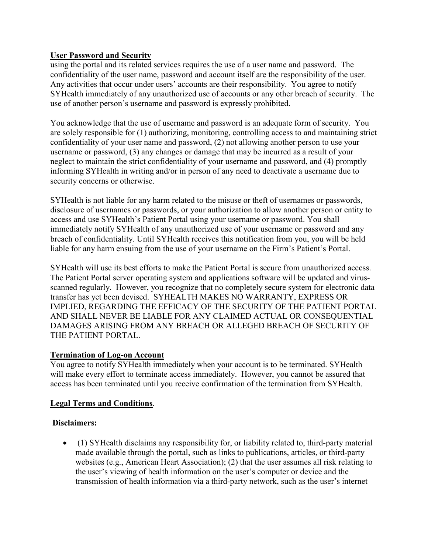## **User Password and Security**

using the portal and its related services requires the use of a user name and password. The confidentiality of the user name, password and account itself are the responsibility of the user. Any activities that occur under users' accounts are their responsibility. You agree to notify SYHealth immediately of any unauthorized use of accounts or any other breach of security. The use of another person's username and password is expressly prohibited.

You acknowledge that the use of username and password is an adequate form of security. You are solely responsible for (1) authorizing, monitoring, controlling access to and maintaining strict confidentiality of your user name and password, (2) not allowing another person to use your username or password, (3) any changes or damage that may be incurred as a result of your neglect to maintain the strict confidentiality of your username and password, and (4) promptly informing SYHealth in writing and/or in person of any need to deactivate a username due to security concerns or otherwise.

SYHealth is not liable for any harm related to the misuse or theft of usernames or passwords, disclosure of usernames or passwords, or your authorization to allow another person or entity to access and use SYHealth's Patient Portal using your username or password. You shall immediately notify SYHealth of any unauthorized use of your username or password and any breach of confidentiality. Until SYHealth receives this notification from you, you will be held liable for any harm ensuing from the use of your username on the Firm's Patient's Portal.

SYHealth will use its best efforts to make the Patient Portal is secure from unauthorized access. The Patient Portal server operating system and applications software will be updated and virusscanned regularly. However, you recognize that no completely secure system for electronic data transfer has yet been devised. SYHEALTH MAKES NO WARRANTY, EXPRESS OR IMPLIED, REGARDING THE EFFICACY OF THE SECURITY OF THE PATIENT PORTAL AND SHALL NEVER BE LIABLE FOR ANY CLAIMED ACTUAL OR CONSEQUENTIAL DAMAGES ARISING FROM ANY BREACH OR ALLEGED BREACH OF SECURITY OF THE PATIENT PORTAL.

#### **Termination of Log-on Account**

You agree to notify SYHealth immediately when your account is to be terminated. SYHealth will make every effort to terminate access immediately. However, you cannot be assured that access has been terminated until you receive confirmation of the termination from SYHealth.

#### **Legal Terms and Conditions**.

## **Disclaimers:**

• (1) SYHealth disclaims any responsibility for, or liability related to, third-party material made available through the portal, such as links to publications, articles, or third-party websites (e.g., American Heart Association); (2) that the user assumes all risk relating to the user's viewing of health information on the user's computer or device and the transmission of health information via a third-party network, such as the user's internet